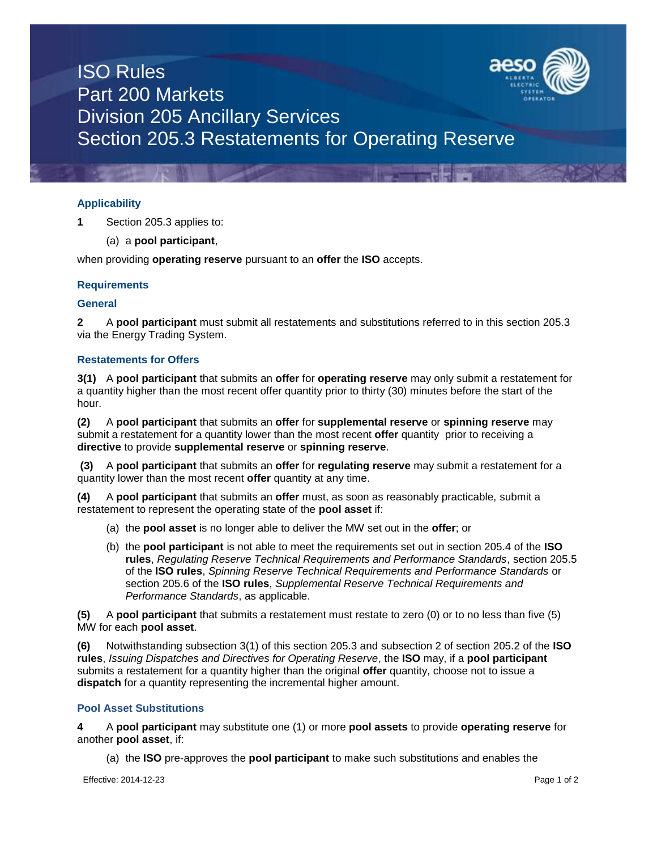

# ISO Rules Part 200 Markets Division 205 Ancillary Services Section 205.3 Restatements for Operating Reserve

# **Applicability**

**1** Section 205.3 applies to:

# (a) a **pool participant**,

when providing **operating reserve** pursuant to an **offer** the **ISO** accepts.

# **Requirements**

#### **General**

**2** A **pool participant** must submit all restatements and substitutions referred to in this section 205.3 via the Energy Trading System.

# **Restatements for Offers**

**3(1)** A **pool participant** that submits an **offer** for **operating reserve** may only submit a restatement for a quantity higher than the most recent offer quantity prior to thirty (30) minutes before the start of the hour.

**(2)** A **pool participant** that submits an **offer** for **supplemental reserve** or **spinning reserve** may submit a restatement for a quantity lower than the most recent **offer** quantity prior to receiving a **directive** to provide **supplemental reserve** or **spinning reserve**.

**(3)** A **pool participant** that submits an **offer** for **regulating reserve** may submit a restatement for a quantity lower than the most recent **offer** quantity at any time.

**(4)** A **pool participant** that submits an **offer** must, as soon as reasonably practicable, submit a restatement to represent the operating state of the **pool asset** if:

- (a) the **pool asset** is no longer able to deliver the MW set out in the **offer**; or
- (b) the **pool participant** is not able to meet the requirements set out in section 205.4 of the **ISO rules**, *Regulating Reserve Technical Requirements and Performance Standards*, section 205.5 of the **ISO rules**, *Spinning Reserve Technical Requirements and Performance Standards* or section 205.6 of the **ISO rules**, *Supplemental Reserve Technical Requirements and Performance Standards*, as applicable.

**(5)** A **pool participant** that submits a restatement must restate to zero (0) or to no less than five (5) MW for each **pool asset**.

**(6)** Notwithstanding subsection 3(1) of this section 205.3 and subsection 2 of section 205.2 of the **ISO rules**, *Issuing Dispatches and Directives for Operating Reserve*, the **ISO** may, if a **pool participant** submits a restatement for a quantity higher than the original **offer** quantity, choose not to issue a **dispatch** for a quantity representing the incremental higher amount.

# **Pool Asset Substitutions**

**4** A **pool participant** may substitute one (1) or more **pool assets** to provide **operating reserve** for another **pool asset**, if:

(a) the **ISO** pre-approves the **pool participant** to make such substitutions and enables the